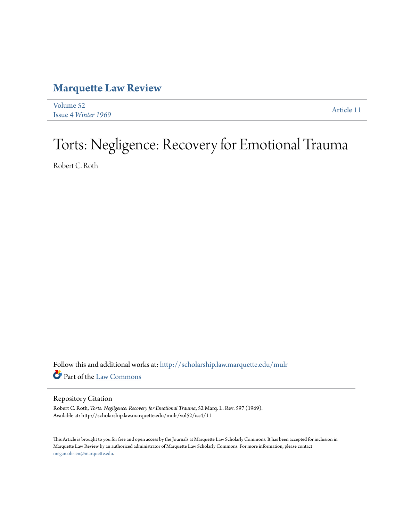## **[Marquette Law Review](http://scholarship.law.marquette.edu/mulr?utm_source=scholarship.law.marquette.edu%2Fmulr%2Fvol52%2Fiss4%2F11&utm_medium=PDF&utm_campaign=PDFCoverPages)**

| Volume 52                  | Article 11 |
|----------------------------|------------|
| <b>Issue 4 Winter 1969</b> |            |

## Torts: Negligence: Recovery for Emotional Trauma

Robert C. Roth

Follow this and additional works at: [http://scholarship.law.marquette.edu/mulr](http://scholarship.law.marquette.edu/mulr?utm_source=scholarship.law.marquette.edu%2Fmulr%2Fvol52%2Fiss4%2F11&utm_medium=PDF&utm_campaign=PDFCoverPages) Part of the [Law Commons](http://network.bepress.com/hgg/discipline/578?utm_source=scholarship.law.marquette.edu%2Fmulr%2Fvol52%2Fiss4%2F11&utm_medium=PDF&utm_campaign=PDFCoverPages)

## Repository Citation

Robert C. Roth, *Torts: Negligence: Recovery for Emotional Trauma*, 52 Marq. L. Rev. 597 (1969). Available at: http://scholarship.law.marquette.edu/mulr/vol52/iss4/11

This Article is brought to you for free and open access by the Journals at Marquette Law Scholarly Commons. It has been accepted for inclusion in Marquette Law Review by an authorized administrator of Marquette Law Scholarly Commons. For more information, please contact [megan.obrien@marquette.edu.](mailto:megan.obrien@marquette.edu)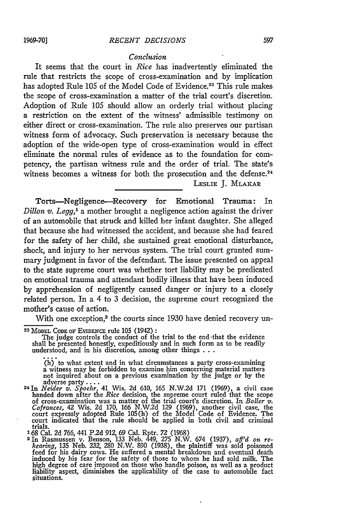## *Conclusion*

It seems that the court in *Rice* has inadvertently eliminated the rule that restricts the scope of cross-examination and **by** implication has adopted Rule 105 of the Model Code of Evidence.<sup>23</sup> This rule makes the scope of cross-examination a matter of the trial court's discretion. Adoption of Rule 105 should allow an orderly trial without placing a restriction on the extent of the witness' admissible testimony on either direct or cross-examination. The rule also preserves our partisan witness form of advocacy. Such preservation is necessary because the adoption of the wide-open type of cross-examination would in effect eliminate the normal rules of evidence as to the foundation for competency, the partisan witness rule and the order of trial. The state's witness becomes a witness for both the prosecution and the defense.<sup>24</sup>

LESLIE **J.** MLAKAR

Torts-Negligence-Recovery for Emotional Trauma: In *Dillon v. Legg,'* a mother brought a negligence action against the driver of an automobile that struck and killed her infant daughter. She alleged that because she had witnessed the accident, and because she had feared for the safety of her child, she sustained great emotional disturbance, shock, and injury to her nervous system. The trial court granted summary judgment in favor of the defendant. The issue presented on appeal to the state supreme court was whether tort liability may be predicated on emotional trauma and attendant bodily illness that have been induced by apprehension of negligently caused danger or injury to a closely related person. In a 4 to 3 decision, the supreme court recognized the mother's cause of action.

With one exception,<sup>2</sup> the courts since 1930 have denied recovery un-

**23 MODEL** CODE OF EVIDENCE rule **105** (1942) **:** The judge controls the conduct of the trial to the end -that the evidence shall be presented honestly, expeditiously and in such form as to be readily understood, and in his discretion, among other things **. . .**

(h) to what extent and in what circumstances a party cross-examining a witness may be forbidden to examine him concerning material matters not inquired about on a previous examination by the judge or by the adverse party .... **<sup>24</sup>***Neider v. Spoehr,* 41 Wis. 2d 610, 165 N.W.2d 171 (1969), a civil case

handed down after the *Rice* decision, the supreme court ruled that the scope<br>of cross-examination was a matter of the trial court's discretion. In *Boller v.*<br>*Cofrances*, 42 Wis. 2d 170, 166 N.W.2d 129 (1969), another ci court indicated that the rule should be applied in both civil and criminal trials. 168 Cal. **2d** 766, 441 P.2d 912, 69 Cal. Rptr. 72 (1968) <sup>2</sup> 1n Rasmussen v. Benson, 133 Neb. 449, 275 N.W. 674 (1937), *aff'd on re-*

*hearing*, 135 Neb. 232, 280 N.W. 890 (1938), the plaintiff was sold poisoned feed for his dairy cows. He suffered a mental breakdown and eventual death induced by his fear for the safety of those to whom he had sold milk. high degree of care imposed on those who handle poison, as well as a product liability aspect, diminishes the applicability of the case to automobile fact situations.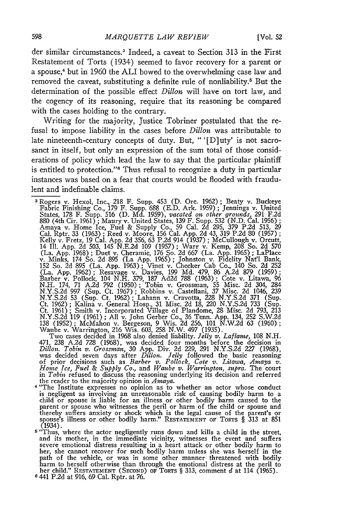der similar circumstances.<sup>3</sup> Indeed, a caveat to Section 313 in the First Restatement of Torts (1934) seemed to favor recovery for a parent or a spouse,<sup>4</sup> but in 1960 the ALI bowed to the overwhelming case law and removed the caveat, substituting a definite rule of nonliability.<sup>5</sup> But the determination of the possible effect *Dillon* will have on tort law, and the cogency of its reasoning, require that its reasoning be compared with the cases holding to the contrary.

Writing for the majority, Justice Tobriner postulated that the refusal to impose liability in the cases before *Dillon* was attributable to late nineteenth-century concepts of duty. But, " '[D] uty' is not sacrosanct in itself, but only an expression of the sum total of those considerations of policy which lead the law to say that the particular plaintiff is entitled to protection."<sup>6</sup> Thus refusal to recognize a duty in particular instances was based on a fear that courts would be flooded with fraudulent and indefinable claims.

Two cases decided in 1968 also denied liability. *Jelly v. Laflame,* 108 N.H. 471, 238 A.2d 728 (1968), was decided four months before the decision in *Dillon. Tobin v. Grossman*, 30 App. Div. 2d 229, 291 N.Y.S.2d 227 (1968), was decided seven days after *Dillon. Jelly* followed the basic reasoning

- is negligent as involving an unreasonable risk of causing bodily harm to a child or spouse is liable for an illness or other bodily harm caused to the parent or spouse who witnesses the peril or harm of the child or spouse and thereby suffers anxiety or shock which is the legal cause of the parent's or spouse's illness or other bodily harm." **RESTATEMENT** OF TORTS § 313 at 851 (1934).
- <sup>5</sup> "Thus, where the actor negligently runs down and kills a child in the street, and its mother, in the immediate vicinity, witnesses the event and suffers severe emotional distress resulting in a heart attack or other bo path of the vehicle, or was in some other manner threatened with bodily harm to herself otherwise than through the emotional distress at the peril to her child." **RESTATEMENT (SEcoND)** OF TORTS § 313, comment *d* at 114 (1965). **<sup>6</sup>**441 P.2d at 916, 69 Cal. Rptr. at 76.

<sup>&</sup>lt;sup>3</sup>Rogers v. Hexol, Inc., 218 F. Supp. 453 (D. Ore. 1962); Beaty v. Buckeye<br>Fabric Finishing Co., 179 F. Supp. 688 (E.D. Ark. 1959); Jennings v. United States, 178 F. Supp. 316 (D. Md. 1959), vacated on other grounds, 291 F.2d<br>880 (4th Cir. 1961); Maury v. United States, 139 F. Supp. 532 (N.D. Cal. 1956);<br>Amaya v. Home Ice, Fuel & Supply Co. 59 Cal. 2d 295, 379 P.2d 513, (La. App. 1962); Resavage v. Davies, 199 Md. 479, 86 A.2d 879 (1959);<br>Barber v. Pollock, 104 N.H. 379, 187 Ad2d 788 (1963); Cote v. Litawa, 96<br>N.H. 174, 71 A.2d 792 (1950); Tobin v. Grossman, 55 Misc. 2d 304, 284<br>N.Y.S.2d N.Y.S.2d 53 (Sup. Ct. 1962); Lahann v. Cravotta, 228 N.Y.S.2d 371 (Sup. Ct. 1962); Kalina v. General Hosp., 31 Misc. 2d 18, 220 N.Y.S.2d 733 (Sup. Ct. 1961); Smith v. Incorporated Village of Plandome, 28 Misc. 2d 793, 213 138 (1952); McMahon v. Bergeson, 9 Wis. 2d 256, 101 N.W.2d 63 (1960); Waube v. Warrington, 216 Wis. 603, 258 N.W. 497 (1935).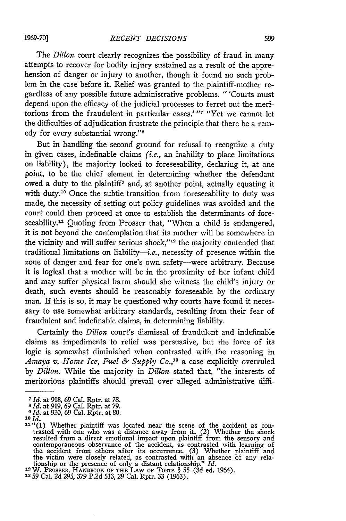**1969-70]**

The *Dillon* court clearly recognizes the possibility of fraud in many attempts to recover for bodily injury sustained as a result of the apprehension of danger or injury to another, though it found no such problem in the case before it. Relief was granted to the plaintiff-mother regardless of any possible future administrative problems. "'Courts must depend upon the efficacy of the judicial processes to ferret out the meritorious from the fraudulent in particular cases.' "<sup>7</sup> "Yet we cannot let the difficulties of adjudication frustrate the principle that there be a remedy for every substantial wrong."<sup>8</sup>

But in handling the second ground for refusal to recognize a duty in given cases, indefinable claims (i.e., an inability to place limitations on liability), the majority looked to foreseeability, declaring it, at one point, to be the chief element in determining whether the defendant owed a duty to the plaintiff<sup>9</sup> and, at another point, actually equating it with duty.<sup>10</sup> Once the subtle transition from foreseeability to duty was made, the necessity of setting out policy guidelines was avoided and the court could then proceed at once to establish the determinants of foreseeability.<sup>11</sup> Quoting from Prosser that, "When a child is endangered, it is not beyond the contemplation that its mother will be somewhere in the vicinity and will suffer serious shock,"<sup>12</sup> the majority contended that traditional limitations on liability- $-i.e.,$  necessity of presence within the zone of danger and fear for one's own safety-were arbitrary. Because it is logical that a mother will be in the proximity of her infant child and may suffer physical harm should she witness the child's injury or death, such events should be reasonably foreseeable by the ordinary man. If this is so, it may be questioned why courts have found it necessary to use somewhat arbitrary standards, resulting from their fear of fraudulent and indefinable claims, in determining liability.

Certainly the *Dillon* court's dismissal of fraudulent and indefinable claims as impediments to relief was persuasive, but the force of its logic is somewhat diminished when contrasted with the reasoning in *Amaya v. Home Ice, Fuel & Supply Co.,' <sup>3</sup>*a case explicitly overruled **by** *Dillon.* While the majority in *Dillon* stated that, "the interests of meritorious plaintiffs should prevail over alleged administrative diffi-

*<sup>7</sup>Id.* at 918, 69 Cal. Rptr. at **78. <sup>8</sup>Id.** at 919, 69 Cal. Rptr. at **79.** *<sup>9</sup>***Id.** at 920, 69 Cal. Rptr. at **80.**

**<sup>10</sup> Id.**

**<sup>11</sup>**<sup> $ii$ </sup>(1) Whether plaintiff was located near the scene of the accident as contrasted with one who was a distance away from it. (2) Whether the shock resulted from a direct emotional impact upon plaintiff from the sensory and contemporaneous observance of the accident, as contrasted with learning of<br>the accident from others after its occurrence. (3) Whether plaintiff and<br>the victim were closely related, as contrasted with an absence of any rel

**<sup>12</sup>**W. **PROSSER,** HANDBOOK **OF** THE **LAW OF** TORTS § 55 (3d ed. 1964). **<sup>13</sup>**59 Cal. 2d 295, 379 P.2d 513, 29 Cal. Rptr. 33 (1963).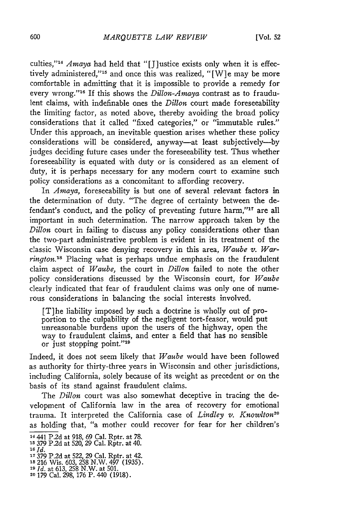culties,"<sup>14</sup> Amaya had held that "[J]ustice exists only when it is effectively administered,"<sup>15</sup> and once this was realized, "[W]e may be more comfortable in admitting that it is impossible to provide a remedy for every wrong."<sup>16</sup> If this shows the *Dillon-Amaya* contrast as to fraudulent claims, with indefinable ones the *Dillon* court made foreseeability the limiting factor, as noted above, thereby avoiding the broad policy considerations that it called "fixed categories," or "immutable rules." Under this approach, an inevitable question arises whether these policy considerations will be considered, anyway-at least subjectively---by judges deciding future cases under the foreseeability test. Thus whether foreseeability is equated with duty or is considered as an element of duty, it is perhaps necessary for any modem court to examine such policy considerations as a concomitant to affording recovery.

*In Amaya,* foreseeability is but one of several relevant factors in the determination of duty. "The degree of certainty between the defendant's conduct, and the policy of preventing future harm,"<sup>17</sup> are all important in such determination. The narrow approach taken by the *Dillon* court in failing to discuss any policy considerations other than the two-part administrative problem is evident in its treatment of the classic Wisconsin case denying recovery in this area, *Waube* v. *Warrington.18* Placing what is perhaps undue emphasis on the fraudulent claim aspect of *Waube,* the court in *Dillon* failed to note the other policy considerations discussed by the Wisconsin court, for *Waube* clearly indicated that fear of fraudulent claims was only one of numerous considerations in balancing the social interests involved.

[T]he liability imposed by such a doctrine is wholly out of proportion to the culpability of the negligent tort-feasor, would put unreasonable burdens upon the users of the highway, open the way to fraudulent claims, and enter a field that has no sensible or just stopping point."<sup>19</sup>

Indeed, it does not seem likely that *Waube* would have been followed as authority for thirty-three years in Wisconsin and other jurisdictions, including California, solely because of its weight as precedent or on the basis of its stand against fraudulent claims.

The *Dillon* court was also somewhat deceptive in tracing the development of California law in the area of recovery for emotional trauma. It interpreted the California case of *Lindley v. Knowlton20* as holding that, "a mother could recover for fear for her children's

- **17 379** P.2d at 522, 29 Cal. Rptr. at 42. **is** 216 Wis. 603, 258 N.W. 497 (1935).
- 

<sup>14441</sup> P.2d at 918, 69 Cal. Rptr. at 78.

**<sup>15</sup>**379 P.2d at 520, 29 Cal. Rptr. at 40. *16Id.*

**<sup>19</sup>***Id.* at 613, 258 N.W. at 501. **<sup>20</sup>**179 Cal. 298, 176 P. 440 (1918).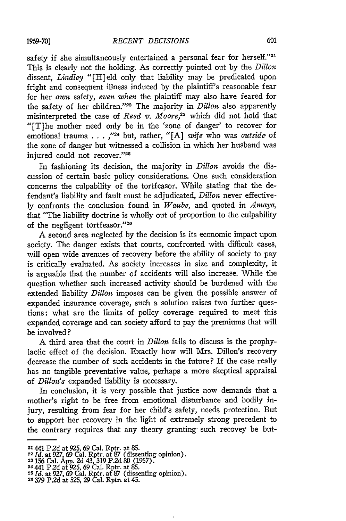**1969-7D]**

safety if she simultaneously entertained a personal fear for herself."21 This is clearly not the holding. As correctly pointed out by the *Dillon* dissent, *Lindley* "[H]eld only that liability may be predicated upon fright and consequent illness induced by the plaintiff's reasonable fear for her *own* safety, *even when* the plaintiff may also have feared for the safety of her children."22 The majority in *Dillon* also apparently misinterpreted the case of *Reed v. Moore,23* which did not hold that "[T]he mother need only be in the 'zone of danger' to recover for emotional trauma . . . ,"<sup>24</sup> but, rather, "[A] *wife* who was *outside* of the zone of danger but witnessed a collision in which her husband was injured could not recover."25

In fashioning its decision, the majority in *Dillon* avoids the discussion of certain basic policy considerations. One such consideration concerns the culpability of the tortfeasor. While stating that the defendant's liability and fault must be adjudicated, *Dillon* never effectively confronts the conclusion found in *Waube*, and quoted in *Amaya*, that "The liability doctrine is wholly out of proportion to the culpability of the negligent tortfeasor."26

A second area neglected by the decision is its economic impact upon society. The danger exists that courts, confronted with difficult cases, will open wide avenues of recovery before the ability of society to pay is critically evaluated. As society increases in size and complexity, it is arguable that the number of accidents will also increase. While the question whether such increased activity should be burdened with the extended liability *Dillon* imposes can be given the possible answer of expanded insurance coverage, such a solution raises two further questions: what are the limits of policy coverage required to meet this expanded coverage and can society afford to pay the premiums that will be involved?

A third area that the court in *Dillon* fails to discuss is the prophylactic effect of the decision. Exactly how will Mrs. Dillon's recovery decrease the number of such accidents in the future? If the case really has no tangible preventative value, perhaps a more skeptical appraisal of *Dillon's* expanded liability is necessary.

In conclusion, it is very possible that justice now demands that a mother's right to be free from emotional disturbance and bodily injury, resulting from fear for her child's safety, needs protection. But to support her recovery in the light of extremely strong precedent to the contrary requires that any theory granting such recovey be but-

<sup>21441</sup> P.2d at **925, 69** Cal. Rptr. at **85.**

**<sup>22</sup>***Id.* at **927, 69** Cal. Rptr. at **87** (dissenting opinion). 23 156 Cal. App. 2d 43, **319** P.2d 80 (1957).

<sup>24</sup>**441** P.2d at 925, 69 Cal. Rptr. at 85. **<sup>25</sup>***Id.* at **927, 69** Cal. Rptr. at **87** (dissenting opinion).

<sup>26</sup>**379** P.2d at 525, **29** Cal. RptrL at 45.